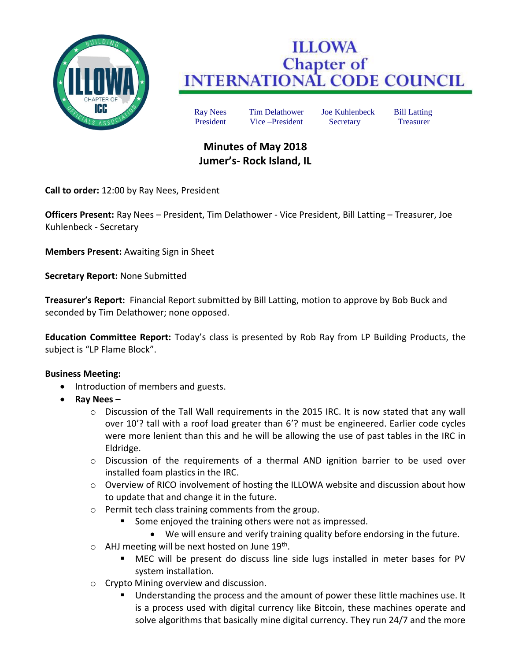

# **ILLOWA Chapter of<br>INTERNATIONAL CODE COUNCIL**

Ray Nees Tim Delathower Joe Kuhlenbeck Bill Latting President Vice –President Secretary Treasurer

# **Minutes of May 2018 Jumer's- Rock Island, IL**

**Call to order:** 12:00 by Ray Nees, President

**Officers Present:** Ray Nees – President, Tim Delathower - Vice President, Bill Latting – Treasurer, Joe Kuhlenbeck - Secretary

**Members Present:** Awaiting Sign in Sheet

**Secretary Report:** None Submitted

**Treasurer's Report:** Financial Report submitted by Bill Latting, motion to approve by Bob Buck and seconded by Tim Delathower; none opposed.

**Education Committee Report:** Today's class is presented by Rob Ray from LP Building Products, the subject is "LP Flame Block".

## **Business Meeting:**

- Introduction of members and guests.
- **Ray Nees –**
	- $\circ$  Discussion of the Tall Wall requirements in the 2015 IRC. It is now stated that any wall over 10'? tall with a roof load greater than 6'? must be engineered. Earlier code cycles were more lenient than this and he will be allowing the use of past tables in the IRC in Eldridge.
	- $\circ$  Discussion of the requirements of a thermal AND ignition barrier to be used over installed foam plastics in the IRC.
	- $\circ$  Overview of RICO involvement of hosting the ILLOWA website and discussion about how to update that and change it in the future.
	- o Permit tech class training comments from the group.
		- Some enjoyed the training others were not as impressed.
		- We will ensure and verify training quality before endorsing in the future.
	- o AHJ meeting will be next hosted on June 19<sup>th</sup>.
		- MEC will be present do discuss line side lugs installed in meter bases for PV system installation.
	- o Crypto Mining overview and discussion.
		- Understanding the process and the amount of power these little machines use. It is a process used with digital currency like Bitcoin, these machines operate and solve algorithms that basically mine digital currency. They run 24/7 and the more